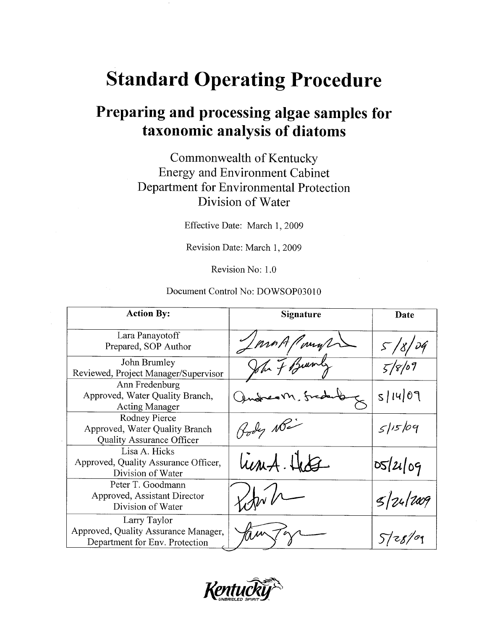# **Standard Operating Procedure**

## Preparing and processing algae samples for taxonomic analysis of diatoms

### Commonwealth of Kentucky **Energy and Environment Cabinet** Department for Environmental Protection Division of Water

Effective Date: March 1, 2009

Revision Date: March 1, 2009

Revision No: 1.0

#### Document Control No: DOWSOP03010

| <b>Action By:</b>                                                                      | <b>Signature</b> | Date     |
|----------------------------------------------------------------------------------------|------------------|----------|
| Lara Panayotoff<br>Prepared, SOP Author                                                | mo A Parys       | 5/8/04   |
| John Brumley<br>Reviewed, Project Manager/Supervisor                                   | John 7 Burnly    | 5/8/09   |
| Ann Fredenburg<br>Approved, Water Quality Branch,<br><b>Acting Manager</b>             |                  | 5/14/09  |
| Rodney Pierce<br>Approved, Water Quality Branch<br><b>Quality Assurance Officer</b>    | Hody Non         | 5/15/09  |
| Lisa A. Hicks<br>Approved, Quality Assurance Officer,<br>Division of Water             | lient. Hete      | 05/21/09 |
| Peter T. Goodmann<br>Approved, Assistant Director<br>Division of Water                 |                  | 5 24 209 |
| Larry Taylor<br>Approved, Quality Assurance Manager,<br>Department for Env. Protection |                  | 5728/09  |

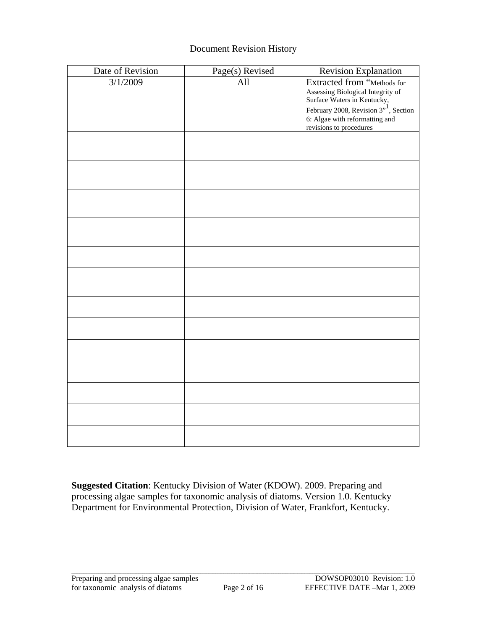#### Document Revision History

| Date of Revision | Page(s) Revised | <b>Revision Explanation</b>                                                                                                                                                                                |
|------------------|-----------------|------------------------------------------------------------------------------------------------------------------------------------------------------------------------------------------------------------|
| 3/1/2009         | All             | Extracted from "Methods for<br>Assessing Biological Integrity of<br>Surface Waters in Kentucky,<br>February 2008, Revision $3^{11}$ , Section<br>6: Algae with reformatting and<br>revisions to procedures |
|                  |                 |                                                                                                                                                                                                            |
|                  |                 |                                                                                                                                                                                                            |
|                  |                 |                                                                                                                                                                                                            |
|                  |                 |                                                                                                                                                                                                            |
|                  |                 |                                                                                                                                                                                                            |
|                  |                 |                                                                                                                                                                                                            |
|                  |                 |                                                                                                                                                                                                            |
|                  |                 |                                                                                                                                                                                                            |
|                  |                 |                                                                                                                                                                                                            |
|                  |                 |                                                                                                                                                                                                            |
|                  |                 |                                                                                                                                                                                                            |
|                  |                 |                                                                                                                                                                                                            |
|                  |                 |                                                                                                                                                                                                            |

**Suggested Citation**: Kentucky Division of Water (KDOW). 2009. Preparing and processing algae samples for taxonomic analysis of diatoms. Version 1.0. Kentucky Department for Environmental Protection, Division of Water, Frankfort, Kentucky.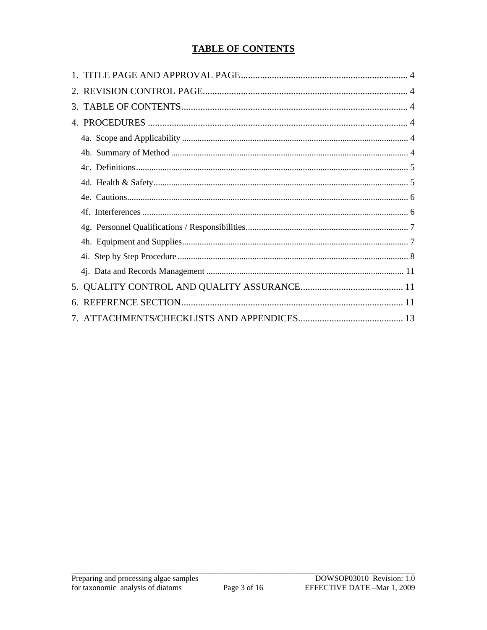#### **TABLE OF CONTENTS**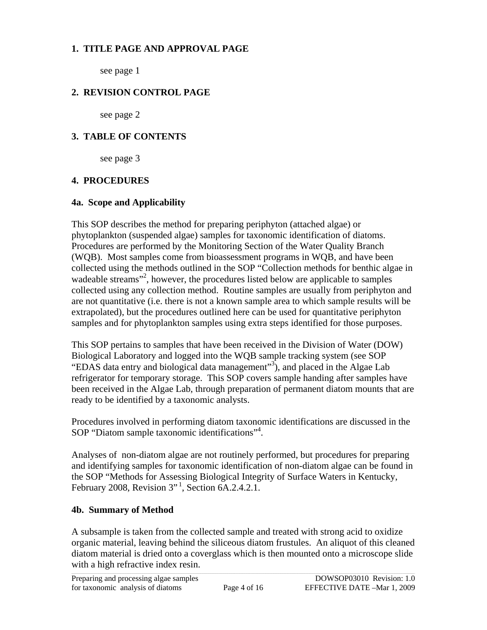#### <span id="page-3-0"></span>**1. TITLE PAGE AND APPROVAL PAGE**

see page 1

#### **2. REVISION CONTROL PAGE**

see page 2

#### **3. TABLE OF CONTENTS**

see page 3

#### **4. PROCEDURES**

#### **4a. Scope and Applicability**

This SOP describes the method for preparing periphyton (attached algae) or phytoplankton (suspended algae) samples for taxonomic identification of diatoms. Procedures are performed by the Monitoring Section of the Water Quality Branch (WQB). Most samples come from bioassessment programs in WQB, and have been collected using the methods outlined in the SOP "Collection methods for benthic algae in wadeable streams"<sup>2</sup>, however, the procedures listed below are applicable to samples collected using any collection method. Routine samples are usually from periphyton and are not quantitative (i.e. there is not a known sample area to which sample results will be extrapolated), but the procedures outlined here can be used for quantitative periphyton samples and for phytoplankton samples using extra steps identified for those purposes.

This SOP pertains to samples that have been received in the Division of Water (DOW) Biological Laboratory and logged into the WQB sample tracking system (see SOP "EDAS data entry and biological data management"<sup>3</sup>), and placed in the Algae Lab refrigerator for temporary storage. This SOP covers sample handing after samples have been received in the Algae Lab, through preparation of permanent diatom mounts that are ready to be identified by a taxonomic analysts.

Procedures involved in performing diatom taxonomic identifications are discussed in the SOP "Diatom sample taxonomic identifications"4 .

Analyses of non-diatom algae are not routinely performed, but procedures for preparing and identifying samples for taxonomic identification of non-diatom algae can be found in the SOP "Methods for Assessing Biological Integrity of Surface Waters in Kentucky, February 2008, Revision  $3''$ <sup>1</sup>, Section 6A.2.4.2.1.

#### **4b. Summary of Method**

A subsample is taken from the collected sample and treated with strong acid to oxidize organic material, leaving behind the siliceous diatom frustules. An aliquot of this cleaned diatom material is dried onto a coverglass which is then mounted onto a microscope slide with a high refractive index resin.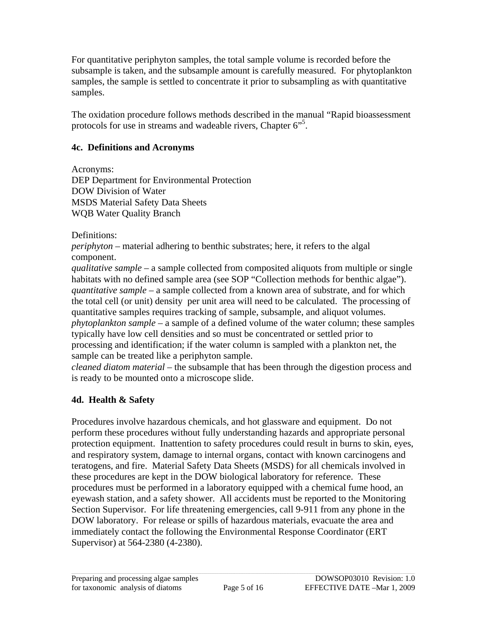<span id="page-4-0"></span>For quantitative periphyton samples, the total sample volume is recorded before the subsample is taken, and the subsample amount is carefully measured. For phytoplankton samples, the sample is settled to concentrate it prior to subsampling as with quantitative samples.

The oxidation procedure follows methods described in the manual "Rapid bioassessment protocols for use in streams and wadeable rivers, Chapter 6<sup>75</sup>.

#### **4c. Definitions and Acronyms**

Acronyms:

DEP Department for Environmental Protection DOW Division of Water MSDS Material Safety Data Sheets WQB Water Quality Branch

#### Definitions:

*periphyton* – material adhering to benthic substrates; here, it refers to the algal component.

*qualitative sample* – a sample collected from composited aliquots from multiple or single habitats with no defined sample area (see SOP "Collection methods for benthic algae"). *quantitative sample* – a sample collected from a known area of substrate, and for which the total cell (or unit) density per unit area will need to be calculated. The processing of quantitative samples requires tracking of sample, subsample, and aliquot volumes. *phytoplankton sample* – a sample of a defined volume of the water column; these samples typically have low cell densities and so must be concentrated or settled prior to processing and identification; if the water column is sampled with a plankton net, the sample can be treated like a periphyton sample.

*cleaned diatom material* – the subsample that has been through the digestion process and is ready to be mounted onto a microscope slide.

#### **4d. Health & Safety**

Procedures involve hazardous chemicals, and hot glassware and equipment. Do not perform these procedures without fully understanding hazards and appropriate personal protection equipment. Inattention to safety procedures could result in burns to skin, eyes, and respiratory system, damage to internal organs, contact with known carcinogens and teratogens, and fire. Material Safety Data Sheets (MSDS) for all chemicals involved in these procedures are kept in the DOW biological laboratory for reference. These procedures must be performed in a laboratory equipped with a chemical fume hood, an eyewash station, and a safety shower. All accidents must be reported to the Monitoring Section Supervisor. For life threatening emergencies, call 9-911 from any phone in the DOW laboratory. For release or spills of hazardous materials, evacuate the area and immediately contact the following the Environmental Response Coordinator (ERT Supervisor) at 564-2380 (4-2380).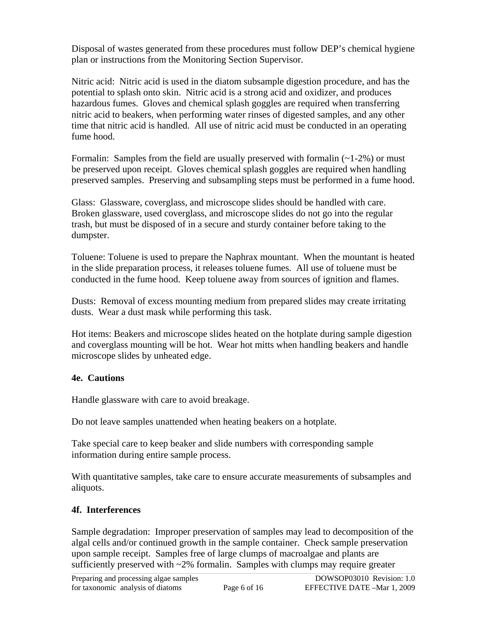<span id="page-5-0"></span>Disposal of wastes generated from these procedures must follow DEP's chemical hygiene plan or instructions from the Monitoring Section Supervisor.

Nitric acid: Nitric acid is used in the diatom subsample digestion procedure, and has the potential to splash onto skin. Nitric acid is a strong acid and oxidizer, and produces hazardous fumes. Gloves and chemical splash goggles are required when transferring nitric acid to beakers, when performing water rinses of digested samples, and any other time that nitric acid is handled. All use of nitric acid must be conducted in an operating fume hood.

Formalin: Samples from the field are usually preserved with formalin  $(-1-2\%)$  or must be preserved upon receipt. Gloves chemical splash goggles are required when handling preserved samples. Preserving and subsampling steps must be performed in a fume hood.

Glass: Glassware, coverglass, and microscope slides should be handled with care. Broken glassware, used coverglass, and microscope slides do not go into the regular trash, but must be disposed of in a secure and sturdy container before taking to the dumpster.

Toluene: Toluene is used to prepare the Naphrax mountant. When the mountant is heated in the slide preparation process, it releases toluene fumes. All use of toluene must be conducted in the fume hood. Keep toluene away from sources of ignition and flames.

Dusts: Removal of excess mounting medium from prepared slides may create irritating dusts. Wear a dust mask while performing this task.

Hot items: Beakers and microscope slides heated on the hotplate during sample digestion and coverglass mounting will be hot. Wear hot mitts when handling beakers and handle microscope slides by unheated edge.

#### **4e. Cautions**

Handle glassware with care to avoid breakage.

Do not leave samples unattended when heating beakers on a hotplate.

Take special care to keep beaker and slide numbers with corresponding sample information during entire sample process.

With quantitative samples, take care to ensure accurate measurements of subsamples and aliquots.

#### **4f. Interferences**

Sample degradation: Improper preservation of samples may lead to decomposition of the algal cells and/or continued growth in the sample container. Check sample preservation upon sample receipt. Samples free of large clumps of macroalgae and plants are sufficiently preserved with ~2% formalin. Samples with clumps may require greater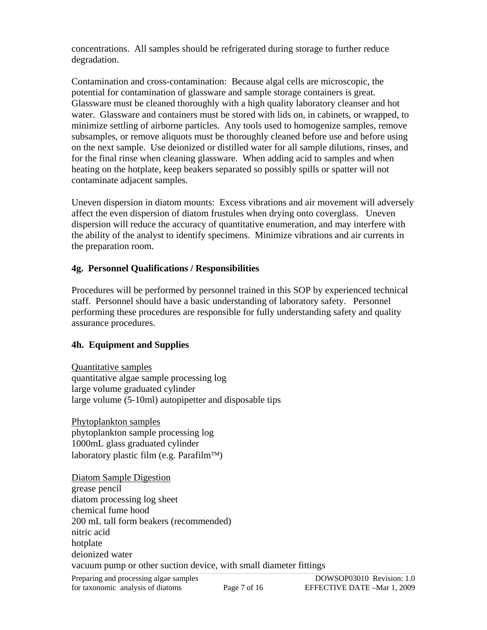<span id="page-6-0"></span>concentrations. All samples should be refrigerated during storage to further reduce degradation.

Contamination and cross-contamination: Because algal cells are microscopic, the potential for contamination of glassware and sample storage containers is great. Glassware must be cleaned thoroughly with a high quality laboratory cleanser and hot water. Glassware and containers must be stored with lids on, in cabinets, or wrapped, to minimize settling of airborne particles. Any tools used to homogenize samples, remove subsamples, or remove aliquots must be thoroughly cleaned before use and before using on the next sample. Use deionized or distilled water for all sample dilutions, rinses, and for the final rinse when cleaning glassware. When adding acid to samples and when heating on the hotplate, keep beakers separated so possibly spills or spatter will not contaminate adjacent samples.

Uneven dispersion in diatom mounts: Excess vibrations and air movement will adversely affect the even dispersion of diatom frustules when drying onto coverglass. Uneven dispersion will reduce the accuracy of quantitative enumeration, and may interfere with the ability of the analyst to identify specimens. Minimize vibrations and air currents in the preparation room.

#### **4g. Personnel Qualifications / Responsibilities**

Procedures will be performed by personnel trained in this SOP by experienced technical staff. Personnel should have a basic understanding of laboratory safety. Personnel performing these procedures are responsible for fully understanding safety and quality assurance procedures.

#### **4h. Equipment and Supplies**

Quantitative samples quantitative algae sample processing log large volume graduated cylinder large volume (5-10ml) autopipetter and disposable tips

Phytoplankton samples phytoplankton sample processing log 1000mL glass graduated cylinder laboratory plastic film (e.g. Parafilm™)

Diatom Sample Digestion grease pencil diatom processing log sheet chemical fume hood 200 mL tall form beakers (recommended) nitric acid hotplate deionized water vacuum pump or other suction device, with small diameter fittings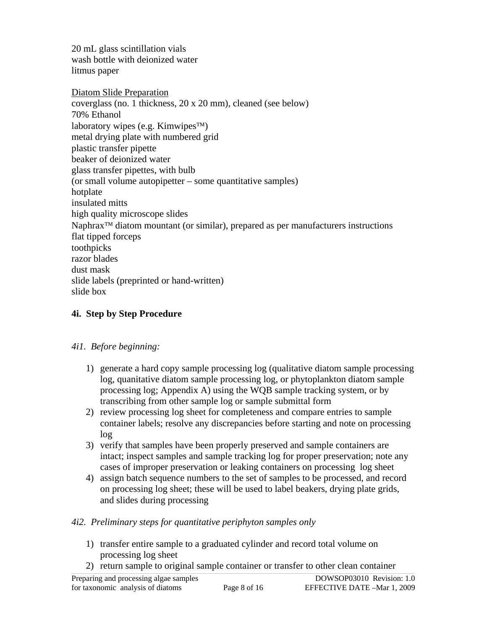<span id="page-7-0"></span>20 mL glass scintillation vials wash bottle with deionized water litmus paper

Diatom Slide Preparation coverglass (no. 1 thickness, 20 x 20 mm), cleaned (see below) 70% Ethanol laboratory wipes (e.g. Kimwipes™) metal drying plate with numbered grid plastic transfer pipette beaker of deionized water glass transfer pipettes, with bulb (or small volume autopipetter – some quantitative samples) hotplate insulated mitts high quality microscope slides Naphrax<sup>™</sup> diatom mountant (or similar), prepared as per manufacturers instructions flat tipped forceps toothpicks razor blades dust mask slide labels (preprinted or hand-written) slide box

#### **4i. Step by Step Procedure**

#### *4i1. Before beginning:*

- 1) generate a hard copy sample processing log (qualitative diatom sample processing log, quanitative diatom sample processing log, or phytoplankton diatom sample processing log; Appendix A) using the WQB sample tracking system, or by transcribing from other sample log or sample submittal form
- 2) review processing log sheet for completeness and compare entries to sample container labels; resolve any discrepancies before starting and note on processing log
- 3) verify that samples have been properly preserved and sample containers are intact; inspect samples and sample tracking log for proper preservation; note any cases of improper preservation or leaking containers on processing log sheet
- 4) assign batch sequence numbers to the set of samples to be processed, and record on processing log sheet; these will be used to label beakers, drying plate grids, and slides during processing

#### *4i2. Preliminary steps for quantitative periphyton samples only*

- 1) transfer entire sample to a graduated cylinder and record total volume on processing log sheet
- 2) return sample to original sample container or transfer to other clean container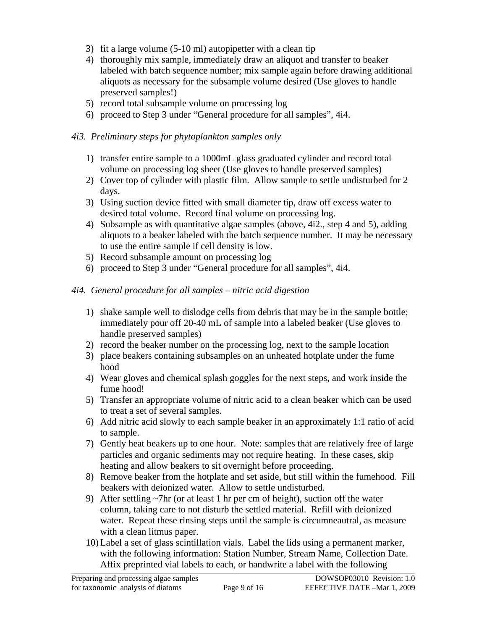- 3) fit a large volume (5-10 ml) autopipetter with a clean tip
- 4) thoroughly mix sample, immediately draw an aliquot and transfer to beaker labeled with batch sequence number; mix sample again before drawing additional aliquots as necessary for the subsample volume desired (Use gloves to handle preserved samples!)
- 5) record total subsample volume on processing log
- 6) proceed to Step 3 under "General procedure for all samples", 4i4.

#### *4i3. Preliminary steps for phytoplankton samples only*

- 1) transfer entire sample to a 1000mL glass graduated cylinder and record total volume on processing log sheet (Use gloves to handle preserved samples)
- 2) Cover top of cylinder with plastic film. Allow sample to settle undisturbed for 2 days.
- 3) Using suction device fitted with small diameter tip, draw off excess water to desired total volume. Record final volume on processing log.
- 4) Subsample as with quantitative algae samples (above, 4i2., step 4 and 5), adding aliquots to a beaker labeled with the batch sequence number. It may be necessary to use the entire sample if cell density is low.
- 5) Record subsample amount on processing log
- 6) proceed to Step 3 under "General procedure for all samples", 4i4.

#### *4i4. General procedure for all samples – nitric acid digestion*

- 1) shake sample well to dislodge cells from debris that may be in the sample bottle; immediately pour off 20-40 mL of sample into a labeled beaker (Use gloves to handle preserved samples)
- 2) record the beaker number on the processing log, next to the sample location
- 3) place beakers containing subsamples on an unheated hotplate under the fume hood
- 4) Wear gloves and chemical splash goggles for the next steps, and work inside the fume hood!
- 5) Transfer an appropriate volume of nitric acid to a clean beaker which can be used to treat a set of several samples.
- 6) Add nitric acid slowly to each sample beaker in an approximately 1:1 ratio of acid to sample.
- 7) Gently heat beakers up to one hour. Note: samples that are relatively free of large particles and organic sediments may not require heating. In these cases, skip heating and allow beakers to sit overnight before proceeding.
- 8) Remove beaker from the hotplate and set aside, but still within the fumehood. Fill beakers with deionized water. Allow to settle undisturbed.
- 9) After settling ~7hr (or at least 1 hr per cm of height), suction off the water column, taking care to not disturb the settled material. Refill with deionized water. Repeat these rinsing steps until the sample is circumneautral, as measure with a clean litmus paper.
- 10) Label a set of glass scintillation vials. Label the lids using a permanent marker, with the following information: Station Number, Stream Name, Collection Date. Affix preprinted vial labels to each, or handwrite a label with the following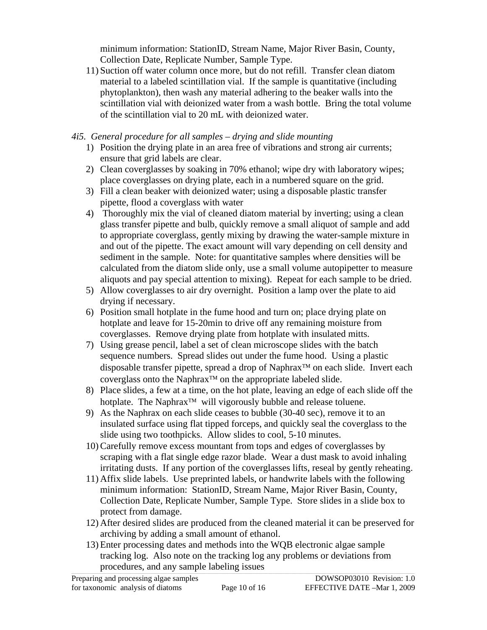minimum information: StationID, Stream Name, Major River Basin, County, Collection Date, Replicate Number, Sample Type.

11) Suction off water column once more, but do not refill. Transfer clean diatom material to a labeled scintillation vial. If the sample is quantitative (including phytoplankton), then wash any material adhering to the beaker walls into the scintillation vial with deionized water from a wash bottle. Bring the total volume of the scintillation vial to 20 mL with deionized water.

#### *4i5. General procedure for all samples – drying and slide mounting*

- 1) Position the drying plate in an area free of vibrations and strong air currents; ensure that grid labels are clear.
- 2) Clean coverglasses by soaking in 70% ethanol; wipe dry with laboratory wipes; place coverglasses on drying plate, each in a numbered square on the grid.
- 3) Fill a clean beaker with deionized water; using a disposable plastic transfer pipette, flood a coverglass with water
- 4) Thoroughly mix the vial of cleaned diatom material by inverting; using a clean glass transfer pipette and bulb, quickly remove a small aliquot of sample and add to appropriate coverglass, gently mixing by drawing the water-sample mixture in and out of the pipette. The exact amount will vary depending on cell density and sediment in the sample. Note: for quantitative samples where densities will be calculated from the diatom slide only, use a small volume autopipetter to measure aliquots and pay special attention to mixing). Repeat for each sample to be dried.
- 5) Allow coverglasses to air dry overnight. Position a lamp over the plate to aid drying if necessary.
- 6) Position small hotplate in the fume hood and turn on; place drying plate on hotplate and leave for 15-20min to drive off any remaining moisture from coverglasses. Remove drying plate from hotplate with insulated mitts.
- 7) Using grease pencil, label a set of clean microscope slides with the batch sequence numbers. Spread slides out under the fume hood. Using a plastic disposable transfer pipette, spread a drop of Naphrax™ on each slide. Invert each coverglass onto the Naphrax™ on the appropriate labeled slide.
- 8) Place slides, a few at a time, on the hot plate, leaving an edge of each slide off the hotplate. The Naphrax™ will vigorously bubble and release toluene.
- 9) As the Naphrax on each slide ceases to bubble (30-40 sec), remove it to an insulated surface using flat tipped forceps, and quickly seal the coverglass to the slide using two toothpicks. Allow slides to cool, 5-10 minutes.
- 10) Carefully remove excess mountant from tops and edges of coverglasses by scraping with a flat single edge razor blade. Wear a dust mask to avoid inhaling irritating dusts. If any portion of the coverglasses lifts, reseal by gently reheating.
- 11) Affix slide labels. Use preprinted labels, or handwrite labels with the following minimum information: StationID, Stream Name, Major River Basin, County, Collection Date, Replicate Number, Sample Type. Store slides in a slide box to protect from damage.
- 12) After desired slides are produced from the cleaned material it can be preserved for archiving by adding a small amount of ethanol.
- 13) Enter processing dates and methods into the WQB electronic algae sample tracking log. Also note on the tracking log any problems or deviations from procedures, and any sample labeling issues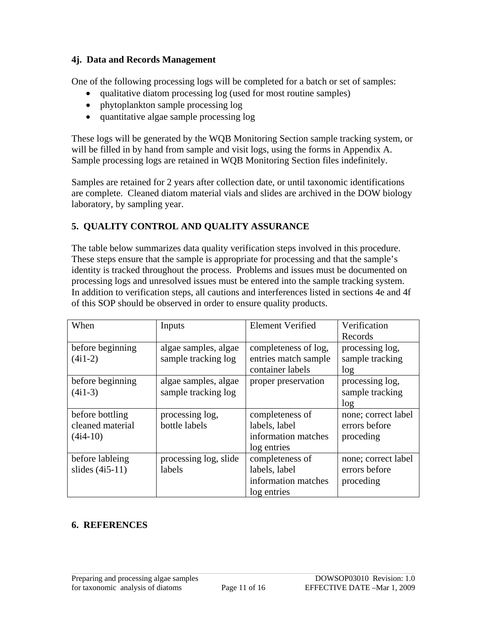#### <span id="page-10-0"></span>**4j. Data and Records Management**

One of the following processing logs will be completed for a batch or set of samples:

- qualitative diatom processing log (used for most routine samples)
- phytoplankton sample processing log
- quantitative algae sample processing log

These logs will be generated by the WQB Monitoring Section sample tracking system, or will be filled in by hand from sample and visit logs, using the forms in Appendix A. Sample processing logs are retained in WQB Monitoring Section files indefinitely.

Samples are retained for 2 years after collection date, or until taxonomic identifications are complete. Cleaned diatom material vials and slides are archived in the DOW biology laboratory, by sampling year.

#### **5. QUALITY CONTROL AND QUALITY ASSURANCE**

The table below summarizes data quality verification steps involved in this procedure. These steps ensure that the sample is appropriate for processing and that the sample's identity is tracked throughout the process. Problems and issues must be documented on processing logs and unresolved issues must be entered into the sample tracking system. In addition to verification steps, all cautions and interferences listed in sections 4e and 4f of this SOP should be observed in order to ensure quality products.

| When              | Inputs                | <b>Element Verified</b> | Verification        |
|-------------------|-----------------------|-------------------------|---------------------|
|                   |                       |                         | Records             |
| before beginning  | algae samples, algae  | completeness of log,    | processing log,     |
| $(4i1-2)$         | sample tracking log   | entries match sample    | sample tracking     |
|                   |                       | container labels        | log                 |
| before beginning  | algae samples, algae  | proper preservation     | processing log,     |
| $(4i1-3)$         | sample tracking log   |                         | sample tracking     |
|                   |                       |                         | log                 |
| before bottling   | processing log,       | completeness of         | none; correct label |
| cleaned material  | bottle labels         | labels, label           | errors before       |
| $(4i4-10)$        |                       | information matches     | proceding           |
|                   |                       | log entries             |                     |
| before lableing   | processing log, slide | completeness of         | none; correct label |
| slides $(4i5-11)$ | labels                | labels, label           | errors before       |
|                   |                       | information matches     | proceding           |
|                   |                       | log entries             |                     |

#### **6. REFERENCES**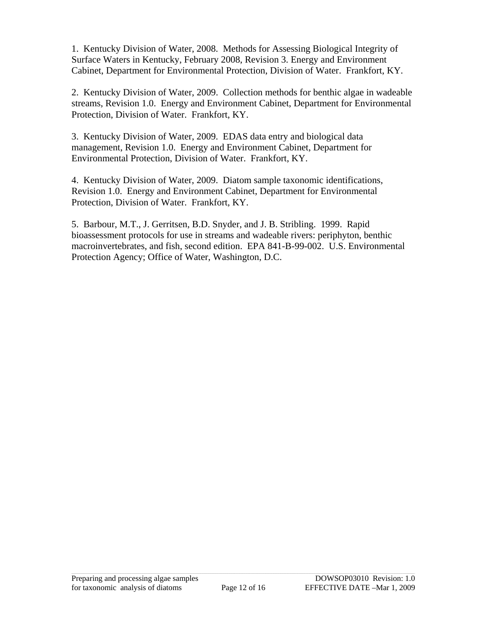1. Kentucky Division of Water, 2008. Methods for Assessing Biological Integrity of Surface Waters in Kentucky, February 2008, Revision 3. Energy and Environment Cabinet, Department for Environmental Protection, Division of Water. Frankfort, KY.

2. Kentucky Division of Water, 2009. Collection methods for benthic algae in wadeable streams, Revision 1.0. Energy and Environment Cabinet, Department for Environmental Protection, Division of Water. Frankfort, KY.

3. Kentucky Division of Water, 2009. EDAS data entry and biological data management, Revision 1.0. Energy and Environment Cabinet, Department for Environmental Protection, Division of Water. Frankfort, KY.

4. Kentucky Division of Water, 2009. Diatom sample taxonomic identifications, Revision 1.0. Energy and Environment Cabinet, Department for Environmental Protection, Division of Water. Frankfort, KY.

5. Barbour, M.T., J. Gerritsen, B.D. Snyder, and J. B. Stribling. 1999. Rapid bioassessment protocols for use in streams and wadeable rivers: periphyton, benthic macroinvertebrates, and fish, second edition. EPA 841-B-99-002. U.S. Environmental Protection Agency; Office of Water, Washington, D.C.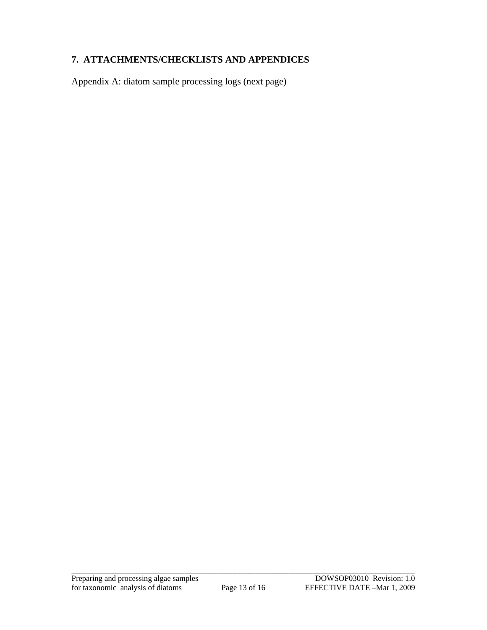#### <span id="page-12-0"></span>**7. ATTACHMENTS/CHECKLISTS AND APPENDICES**

Appendix A: diatom sample processing logs (next page)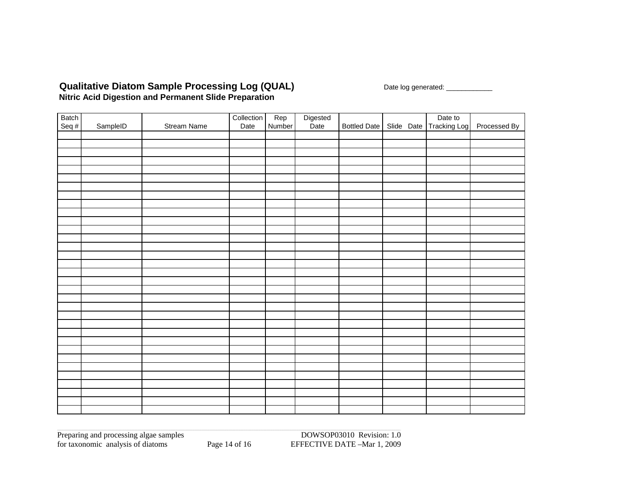#### **Qualitative Diatom Sample Processing Log (QUAL)** Date log generated: \_\_\_\_\_\_\_\_\_\_\_ **Nitric Acid Digestion and Permanent Slide Preparation**

|                |          |                    | Collection | Rep    |                  |              | Date to                 |              |
|----------------|----------|--------------------|------------|--------|------------------|--------------|-------------------------|--------------|
| Batch<br>Seq # | SampleID | <b>Stream Name</b> | Date       | Number | Digested<br>Date | Bottled Date | Slide Date Tracking Log | Processed By |
|                |          |                    |            |        |                  |              |                         |              |
|                |          |                    |            |        |                  |              |                         |              |
|                |          |                    |            |        |                  |              |                         |              |
|                |          |                    |            |        |                  |              |                         |              |
|                |          |                    |            |        |                  |              |                         |              |
|                |          |                    |            |        |                  |              |                         |              |
|                |          |                    |            |        |                  |              |                         |              |
|                |          |                    |            |        |                  |              |                         |              |
|                |          |                    |            |        |                  |              |                         |              |
|                |          |                    |            |        |                  |              |                         |              |
|                |          |                    |            |        |                  |              |                         |              |
|                |          |                    |            |        |                  |              |                         |              |
|                |          |                    |            |        |                  |              |                         |              |
|                |          |                    |            |        |                  |              |                         |              |
|                |          |                    |            |        |                  |              |                         |              |
|                |          |                    |            |        |                  |              |                         |              |
|                |          |                    |            |        |                  |              |                         |              |
|                |          |                    |            |        |                  |              |                         |              |
|                |          |                    |            |        |                  |              |                         |              |
|                |          |                    |            |        |                  |              |                         |              |
|                |          |                    |            |        |                  |              |                         |              |
|                |          |                    |            |        |                  |              |                         |              |
|                |          |                    |            |        |                  |              |                         |              |
|                |          |                    |            |        |                  |              |                         |              |
|                |          |                    |            |        |                  |              |                         |              |
|                |          |                    |            |        |                  |              |                         |              |
|                |          |                    |            |        |                  |              |                         |              |
|                |          |                    |            |        |                  |              |                         |              |
|                |          |                    |            |        |                  |              |                         |              |
|                |          |                    |            |        |                  |              |                         |              |
|                |          |                    |            |        |                  |              |                         |              |
|                |          |                    |            |        |                  |              |                         |              |
|                |          |                    |            |        |                  |              |                         |              |

Preparing and processing algae samples DOWSOP03010 Revision: 1.0 for taxonomic analysis of diatoms Page 14 of 16 EFFECTIVE DATE –Mar 1, 2009

DOWSOP03010 Revision: 1.0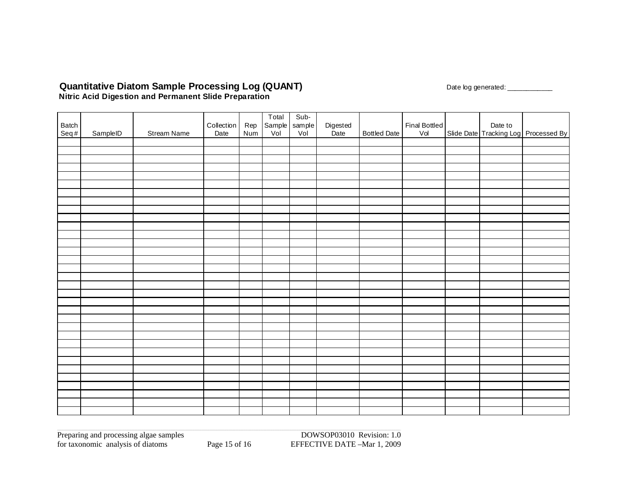#### Quantitative Diatom Sample Processing Log (QUANT) and the contract the contract of the contract of the contract of the contract of the contract of the contract of the contract of the contract of the contract of the contrac **Nitric Acid Digestion and Permanent Slide Preparation**

|               |          |             |            |     | Total | Sub-          |                  |              |                      |  |                                                 |
|---------------|----------|-------------|------------|-----|-------|---------------|------------------|--------------|----------------------|--|-------------------------------------------------|
| Batch<br>Seq# |          |             | Collection | Rep |       | Sample sample | Digested<br>Date |              | Final Bottled<br>Vol |  |                                                 |
|               | SampleID | Stream Name | Date       | Num |       |               |                  | Bottled Date |                      |  | Date to<br>Slide Date Tracking Log Processed By |
|               |          |             |            |     |       |               |                  |              |                      |  |                                                 |
|               |          |             |            |     |       |               |                  |              |                      |  |                                                 |
|               |          |             |            |     |       |               |                  |              |                      |  |                                                 |
|               |          |             |            |     |       |               |                  |              |                      |  |                                                 |
|               |          |             |            |     |       |               |                  |              |                      |  |                                                 |
|               |          |             |            |     |       |               |                  |              |                      |  |                                                 |
|               |          |             |            |     |       |               |                  |              |                      |  |                                                 |
|               |          |             |            |     |       |               |                  |              |                      |  |                                                 |
|               |          |             |            |     |       |               |                  |              |                      |  |                                                 |
|               |          |             |            |     |       |               |                  |              |                      |  |                                                 |
|               |          |             |            |     |       |               |                  |              |                      |  |                                                 |
|               |          |             |            |     |       |               |                  |              |                      |  |                                                 |
|               |          |             |            |     |       |               |                  |              |                      |  |                                                 |
|               |          |             |            |     |       |               |                  |              |                      |  |                                                 |
|               |          |             |            |     |       |               |                  |              |                      |  |                                                 |
|               |          |             |            |     |       |               |                  |              |                      |  |                                                 |
|               |          |             |            |     |       |               |                  |              |                      |  |                                                 |
|               |          |             |            |     |       |               |                  |              |                      |  |                                                 |
|               |          |             |            |     |       |               |                  |              |                      |  |                                                 |
|               |          |             |            |     |       |               |                  |              |                      |  |                                                 |
|               |          |             |            |     |       |               |                  |              |                      |  |                                                 |
|               |          |             |            |     |       |               |                  |              |                      |  |                                                 |
|               |          |             |            |     |       |               |                  |              |                      |  |                                                 |
|               |          |             |            |     |       |               |                  |              |                      |  |                                                 |
|               |          |             |            |     |       |               |                  |              |                      |  |                                                 |
|               |          |             |            |     |       |               |                  |              |                      |  |                                                 |
|               |          |             |            |     |       |               |                  |              |                      |  |                                                 |
|               |          |             |            |     |       |               |                  |              |                      |  |                                                 |
|               |          |             |            |     |       |               |                  |              |                      |  |                                                 |
|               |          |             |            |     |       |               |                  |              |                      |  |                                                 |
|               |          |             |            |     |       |               |                  |              |                      |  |                                                 |
|               |          |             |            |     |       |               |                  |              |                      |  |                                                 |
|               |          |             |            |     |       |               |                  |              |                      |  |                                                 |

Preparing and processing algae samples DOWSOP03010 Revision: 1.0 for taxonomic analysis of diatoms Page 15 of 16 EFFECTIVE DATE –Mar 1, 2009

DOWSOP03010 Revision: 1.0